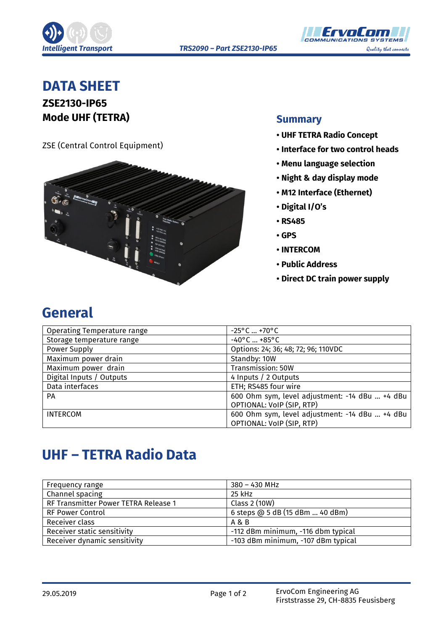



# **DATA SHEET**

**ZSE2130-IP65 Mode UHF (TETRA) Summary**

ZSE (Central Control Equipment)



- **UHF TETRA Radio Concept**
- **Interface for two control heads**
- **Menu language selection**
- **Night & day display mode**
- **M12 Interface (Ethernet)**
- **Digital I/O's**
- **RS485**
- **GPS**
- **INTERCOM**
- **Public Address**
- **Direct DC train power supply**

#### **General**

| Operating Temperature range | $-25^{\circ}$ C  +70°C                         |
|-----------------------------|------------------------------------------------|
| Storage temperature range   | $-40^{\circ}$ C  +85°C                         |
| Power Supply                | Options: 24; 36; 48; 72; 96; 110VDC            |
| Maximum power drain         | Standby: 10W                                   |
| Maximum power drain         | Transmission: 50W                              |
| Digital Inputs / Outputs    | 4 Inputs / 2 Outputs                           |
| Data interfaces             | ETH; RS485 four wire                           |
| <b>PA</b>                   | 600 Ohm sym, level adjustment: -14 dBu  +4 dBu |
|                             | OPTIONAL: VoIP (SIP, RTP)                      |
| <b>INTERCOM</b>             | 600 Ohm sym, level adjustment: -14 dBu  +4 dBu |
|                             | OPTIONAL: VoIP (SIP, RTP)                      |

#### **UHF – TETRA Radio Data**

| Frequency range                      | $380 - 430$ MHz                    |
|--------------------------------------|------------------------------------|
| Channel spacing                      | 25 kHz                             |
| RF Transmitter Power TETRA Release 1 | Class 2 (10W)                      |
| <b>RF Power Control</b>              | 6 steps @ 5 dB (15 dBm  40 dBm)    |
| Receiver class                       | A & B                              |
| Receiver static sensitivity          | -112 dBm minimum, -116 dbm typical |
| Receiver dynamic sensitivity         | -103 dBm minimum, -107 dBm typical |